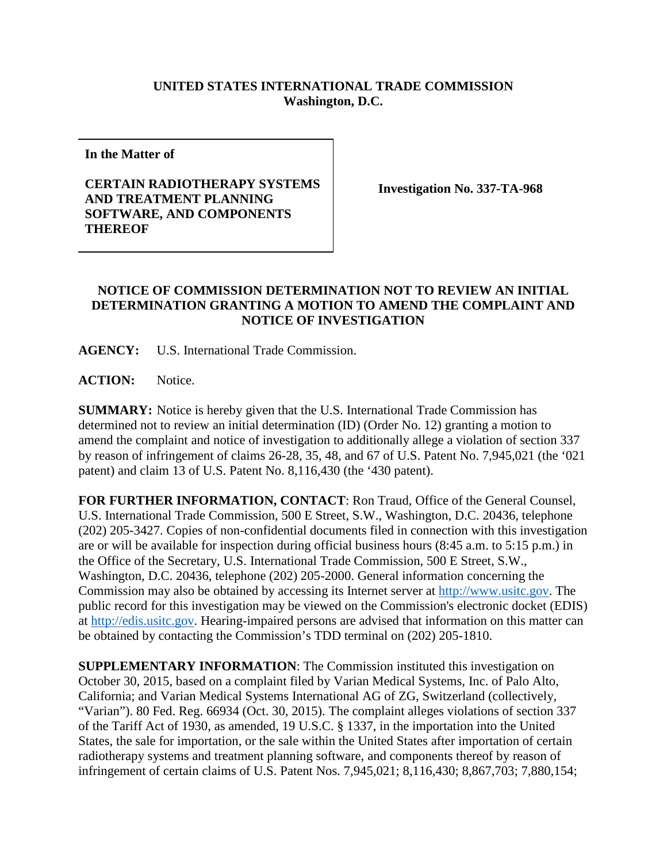## **UNITED STATES INTERNATIONAL TRADE COMMISSION Washington, D.C.**

**In the Matter of**

## **CERTAIN RADIOTHERAPY SYSTEMS AND TREATMENT PLANNING SOFTWARE, AND COMPONENTS THEREOF**

**Investigation No. 337-TA-968**

## **NOTICE OF COMMISSION DETERMINATION NOT TO REVIEW AN INITIAL DETERMINATION GRANTING A MOTION TO AMEND THE COMPLAINT AND NOTICE OF INVESTIGATION**

**AGENCY:** U.S. International Trade Commission.

**ACTION:** Notice.

**SUMMARY:** Notice is hereby given that the U.S. International Trade Commission has determined not to review an initial determination (ID) (Order No. 12) granting a motion to amend the complaint and notice of investigation to additionally allege a violation of section 337 by reason of infringement of claims 26-28, 35, 48, and 67 of U.S. Patent No. 7,945,021 (the '021 patent) and claim 13 of U.S. Patent No. 8,116,430 (the '430 patent).

**FOR FURTHER INFORMATION, CONTACT**: Ron Traud, Office of the General Counsel, U.S. International Trade Commission, 500 E Street, S.W., Washington, D.C. 20436, telephone (202) 205-3427. Copies of non-confidential documents filed in connection with this investigation are or will be available for inspection during official business hours (8:45 a.m. to 5:15 p.m.) in the Office of the Secretary, U.S. International Trade Commission, 500 E Street, S.W., Washington, D.C. 20436, telephone (202) 205-2000. General information concerning the Commission may also be obtained by accessing its Internet server at [http://www.usitc.gov.](http://www.usitc.gov/) The public record for this investigation may be viewed on the Commission's electronic docket (EDIS) at [http://edis.usitc.gov.](http://edis.usitc.gov/) Hearing-impaired persons are advised that information on this matter can be obtained by contacting the Commission's TDD terminal on (202) 205-1810.

**SUPPLEMENTARY INFORMATION**: The Commission instituted this investigation on October 30, 2015, based on a complaint filed by Varian Medical Systems, Inc. of Palo Alto, California; and Varian Medical Systems International AG of ZG, Switzerland (collectively, "Varian"). 80 Fed. Reg. 66934 (Oct. 30, 2015). The complaint alleges violations of section 337 of the Tariff Act of 1930, as amended, 19 U.S.C. § 1337, in the importation into the United States, the sale for importation, or the sale within the United States after importation of certain radiotherapy systems and treatment planning software, and components thereof by reason of infringement of certain claims of U.S. Patent Nos. 7,945,021; 8,116,430; 8,867,703; 7,880,154;